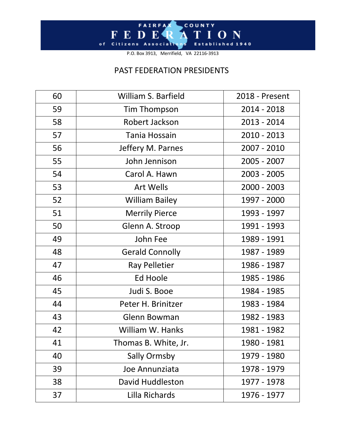## F E D E R A T I O N Established 1940 of Citizens Associations

P.O. Box 3913, Merrifield, VA 22116-3913

## PAST FEDERATION PRESIDENTS

| 60 | <b>William S. Barfield</b> | 2018 - Present |
|----|----------------------------|----------------|
| 59 | <b>Tim Thompson</b>        | $2014 - 2018$  |
| 58 | Robert Jackson             | 2013 - 2014    |
| 57 | Tania Hossain              | $2010 - 2013$  |
| 56 | Jeffery M. Parnes          | 2007 - 2010    |
| 55 | John Jennison              | 2005 - 2007    |
| 54 | Carol A. Hawn              | $2003 - 2005$  |
| 53 | <b>Art Wells</b>           | $2000 - 2003$  |
| 52 | <b>William Bailey</b>      | 1997 - 2000    |
| 51 | <b>Merrily Pierce</b>      | 1993 - 1997    |
| 50 | Glenn A. Stroop            | 1991 - 1993    |
| 49 | John Fee                   | 1989 - 1991    |
| 48 | <b>Gerald Connolly</b>     | 1987 - 1989    |
| 47 | <b>Ray Pelletier</b>       | 1986 - 1987    |
| 46 | Ed Hoole                   | 1985 - 1986    |
| 45 | Judi S. Booe               | 1984 - 1985    |
| 44 | Peter H. Brinitzer         | 1983 - 1984    |
| 43 | Glenn Bowman               | 1982 - 1983    |
| 42 | William W. Hanks           | 1981 - 1982    |
| 41 | Thomas B. White, Jr.       | 1980 - 1981    |
| 40 | <b>Sally Ormsby</b>        | 1979 - 1980    |
| 39 | Joe Annunziata             | 1978 - 1979    |
| 38 | David Huddleston           | 1977 - 1978    |
| 37 | Lilla Richards             | 1976 - 1977    |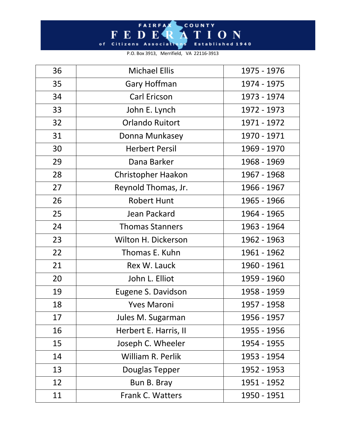## F E D E R A T I O N of Citizens Associations Established 1940

P.O. Box 3913, Merrifield, VA 22116-3913

| 36 | <b>Michael Ellis</b>      | 1975 - 1976 |
|----|---------------------------|-------------|
| 35 | Gary Hoffman              | 1974 - 1975 |
| 34 | <b>Carl Ericson</b>       | 1973 - 1974 |
| 33 | John E. Lynch             | 1972 - 1973 |
| 32 | <b>Orlando Ruitort</b>    | 1971 - 1972 |
| 31 | Donna Munkasey            | 1970 - 1971 |
| 30 | <b>Herbert Persil</b>     | 1969 - 1970 |
| 29 | Dana Barker               | 1968 - 1969 |
| 28 | <b>Christopher Haakon</b> | 1967 - 1968 |
| 27 | Reynold Thomas, Jr.       | 1966 - 1967 |
| 26 | <b>Robert Hunt</b>        | 1965 - 1966 |
| 25 | Jean Packard              | 1964 - 1965 |
| 24 | <b>Thomas Stanners</b>    | 1963 - 1964 |
| 23 | Wilton H. Dickerson       | 1962 - 1963 |
| 22 | Thomas E. Kuhn            | 1961 - 1962 |
| 21 | Rex W. Lauck              | 1960 - 1961 |
| 20 | John L. Elliot            | 1959 - 1960 |
| 19 | Eugene S. Davidson        | 1958 - 1959 |
| 18 | <b>Yves Maroni</b>        | 1957 - 1958 |
| 17 | Jules M. Sugarman         | 1956 - 1957 |
| 16 | Herbert E. Harris, II     | 1955 - 1956 |
| 15 | Joseph C. Wheeler         | 1954 - 1955 |
| 14 | William R. Perlik         | 1953 - 1954 |
| 13 | Douglas Tepper            | 1952 - 1953 |
| 12 | Bun B. Bray               | 1951 - 1952 |
| 11 | Frank C. Watters          | 1950 - 1951 |